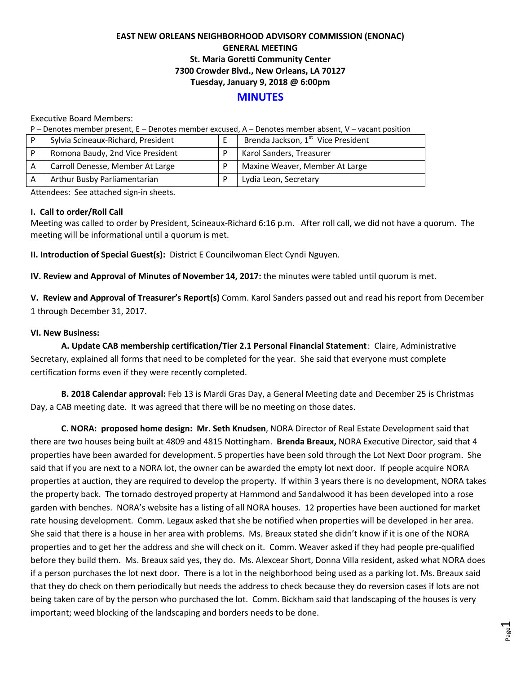## **EAST NEW ORLEANS NEIGHBORHOOD ADVISORY COMMISSION (ENONAC) GENERAL MEETING St. Maria Goretti Community Center 7300 Crowder Blvd., New Orleans, LA 70127 Tuesday, January 9, 2018 @ 6:00pm**

# **MINUTES**

Executive Board Members:

P – Denotes member present, E – Denotes member excused, A – Denotes member absent, V – vacant position

| Sylvia Scineaux-Richard, President | Brenda Jackson, 1 <sup>st</sup> Vice President |
|------------------------------------|------------------------------------------------|
| Romona Baudy, 2nd Vice President   | Karol Sanders, Treasurer                       |
| Carroll Denesse, Member At Large   | Maxine Weaver, Member At Large                 |
| Arthur Busby Parliamentarian       | Lydia Leon, Secretary                          |

Attendees: See attached sign-in sheets.

#### **I. Call to order/Roll Call**

Meeting was called to order by President, Scineaux-Richard 6:16 p.m. After roll call, we did not have a quorum. The meeting will be informational until a quorum is met.

**II. Introduction of Special Guest(s):** District E Councilwoman Elect Cyndi Nguyen.

**IV. Review and Approval of Minutes of November 14, 2017:** the minutes were tabled until quorum is met.

**V. Review and Approval of Treasurer's Report(s)** Comm. Karol Sanders passed out and read his report from December 1 through December 31, 2017.

## **VI. New Business:**

**A. Update CAB membership certification/Tier 2.1 Personal Financial Statement**: Claire, Administrative Secretary, explained all forms that need to be completed for the year. She said that everyone must complete certification forms even if they were recently completed.

**B. 2018 Calendar approval:** Feb 13 is Mardi Gras Day, a General Meeting date and December 25 is Christmas Day, a CAB meeting date. It was agreed that there will be no meeting on those dates.

**C. NORA: proposed home design: Mr. Seth Knudsen**, NORA Director of Real Estate Development said that there are two houses being built at 4809 and 4815 Nottingham. **Brenda Breaux,** NORA Executive Director, said that 4 properties have been awarded for development. 5 properties have been sold through the Lot Next Door program. She said that if you are next to a NORA lot, the owner can be awarded the empty lot next door. If people acquire NORA properties at auction, they are required to develop the property. If within 3 years there is no development, NORA takes the property back. The tornado destroyed property at Hammond and Sandalwood it has been developed into a rose garden with benches. NORA's website has a listing of all NORA houses. 12 properties have been auctioned for market rate housing development. Comm. Legaux asked that she be notified when properties will be developed in her area. She said that there is a house in her area with problems. Ms. Breaux stated she didn't know if it is one of the NORA properties and to get her the address and she will check on it. Comm. Weaver asked if they had people pre-qualified before they build them. Ms. Breaux said yes, they do. Ms. Alexcear Short, Donna Villa resident, asked what NORA does if a person purchases the lot next door. There is a lot in the neighborhood being used as a parking lot. Ms. Breaux said that they do check on them periodically but needs the address to check because they do reversion cases if lots are not being taken care of by the person who purchased the lot. Comm. Bickham said that landscaping of the houses is very important; weed blocking of the landscaping and borders needs to be done.